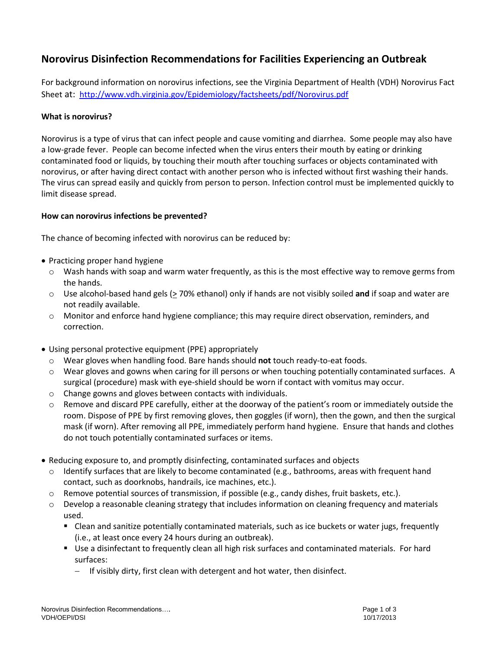## **Norovirus Disinfection Recommendations for Facilities Experiencing an Outbreak**

For background information on norovirus infections, see the Virginia Department of Health (VDH) [Norovirus Fact](http://www.vdh.virginia.gov/epidemiology/factsheets/Norovirus.htm)  [Sheet](http://www.vdh.virginia.gov/epidemiology/factsheets/Norovirus.htm) at: <http://www.vdh.virginia.gov/Epidemiology/factsheets/pdf/Norovirus.pdf>

## **What is norovirus?**

Norovirus is a type of virus that can infect people and cause vomiting and diarrhea. Some people may also have a low-grade fever. People can become infected when the virus enters their mouth by eating or drinking contaminated food or liquids, by touching their mouth after touching surfaces or objects contaminated with norovirus, or after having direct contact with another person who is infected without first washing their hands. The virus can spread easily and quickly from person to person. Infection control must be implemented quickly to limit disease spread.

## **How can norovirus infections be prevented?**

The chance of becoming infected with norovirus can be reduced by:

- Practicing proper hand hygiene
	- $\circ$  Wash hands with soap and warm water frequently, as this is the most effective way to remove germs from the hands.
	- o Use alcohol-based hand gels (> 70% ethanol) only if hands are not visibly soiled **and** if soap and water are not readily available.
	- o Monitor and enforce hand hygiene compliance; this may require direct observation, reminders, and correction.
- Using personal protective equipment (PPE) appropriately
	- o Wear gloves when handling food. Bare hands should **not** touch ready-to-eat foods.
	- o Wear gloves and gowns when caring for ill persons or when touching potentially contaminated surfaces. A surgical (procedure) mask with eye-shield should be worn if contact with vomitus may occur.
	- o Change gowns and gloves between contacts with individuals.
	- $\circ$  Remove and discard PPE carefully, either at the doorway of the patient's room or immediately outside the room. Dispose of PPE by first removing gloves, then goggles (if worn), then the gown, and then the surgical mask (if worn). After removing all PPE, immediately perform hand hygiene. Ensure that hands and clothes do not touch potentially contaminated surfaces or items.
- Reducing exposure to, and promptly disinfecting, contaminated surfaces and objects
	- $\circ$  Identify surfaces that are likely to become contaminated (e.g., bathrooms, areas with frequent hand contact, such as doorknobs, handrails, ice machines, etc.).
	- $\circ$  Remove potential sources of transmission, if possible (e.g., candy dishes, fruit baskets, etc.).
	- $\circ$  Develop a reasonable cleaning strategy that includes information on cleaning frequency and materials used.
		- Clean and sanitize potentially contaminated materials, such as ice buckets or water jugs, frequently (i.e., at least once every 24 hours during an outbreak).
		- Use a disinfectant to frequently clean all high risk surfaces and contaminated materials. For hard surfaces:
			- If visibly dirty, first clean with detergent and hot water, then disinfect.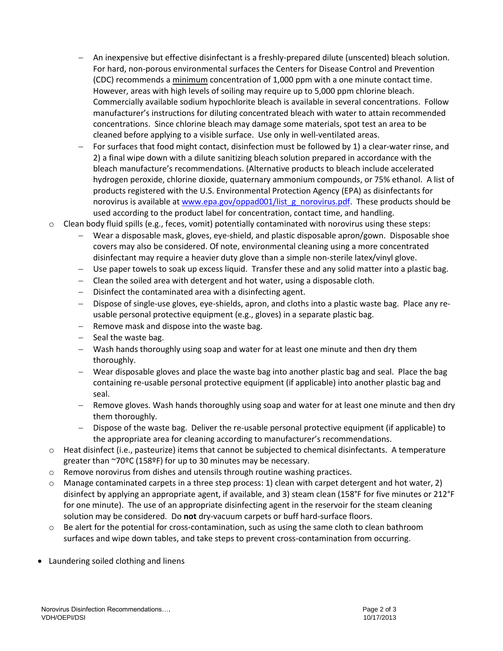- An inexpensive but effective disinfectant is a freshly-prepared dilute (unscented) bleach solution. For hard, non-porous environmental surfaces the Centers for Disease Control and Prevention (CDC) recommends a minimum concentration of 1,000 ppm with a one minute contact time. However, areas with high levels of soiling may require up to 5,000 ppm chlorine bleach. Commercially available sodium hypochlorite bleach is available in several concentrations. Follow manufacturer's instructions for diluting concentrated bleach with water to attain recommended concentrations. Since chlorine bleach may damage some materials, spot test an area to be cleaned before applying to a visible surface. Use only in well-ventilated areas.
- For surfaces that food might contact, disinfection must be followed by 1) a clear-water rinse, and 2) a final wipe down with a dilute sanitizing bleach solution prepared in accordance with the bleach manufacture's recommendations. (Alternative products to bleach include accelerated hydrogen peroxide, chlorine dioxide, quaternary ammonium compounds, or 75% ethanol. A list of products registered with the U.S. Environmental Protection Agency (EPA) as disinfectants for norovirus is available at [www.epa.gov/oppad001/list\\_g\\_norovirus.pdf.](http://www.epa.gov/oppad001/list_g_norovirus.pdf) These products should be used according to the product label for concentration, contact time, and handling.
- $\circ$  Clean body fluid spills (e.g., feces, vomit) potentially contaminated with norovirus using these steps:
	- Wear a disposable mask, gloves, eye-shield, and plastic disposable apron/gown. Disposable shoe covers may also be considered. Of note, environmental cleaning using a more concentrated disinfectant may require a heavier duty glove than a simple non-sterile latex/vinyl glove.
	- Use paper towels to soak up excess liquid. Transfer these and any solid matter into a plastic bag.
	- Clean the soiled area with detergent and hot water, using a disposable cloth.
	- $-$  Disinfect the contaminated area with a disinfecting agent.
	- Dispose of single-use gloves, eye-shields, apron, and cloths into a plastic waste bag. Place any reusable personal protective equipment (e.g., gloves) in a separate plastic bag.
	- Remove mask and dispose into the waste bag.
	- Seal the waste bag.
	- Wash hands thoroughly using soap and water for at least one minute and then dry them thoroughly.
	- Wear disposable gloves and place the waste bag into another plastic bag and seal. Place the bag containing re-usable personal protective equipment (if applicable) into another plastic bag and seal.
	- $-$  Remove gloves. Wash hands thoroughly using soap and water for at least one minute and then dry them thoroughly.
	- Dispose of the waste bag. Deliver the re-usable personal protective equipment (if applicable) to the appropriate area for cleaning according to manufacturer's recommendations.
- $\circ$  Heat disinfect (i.e., pasteurize) items that cannot be subjected to chemical disinfectants. A temperature greater than ~70ºC (158ºF) for up to 30 minutes may be necessary.
- o Remove norovirus from dishes and utensils through routine washing practices.
- $\circ$  Manage contaminated carpets in a three step process: 1) clean with carpet detergent and hot water, 2) disinfect by applying an appropriate agent, if available, and 3) steam clean (158°F for five minutes or 212°F for one minute). The use of an appropriate disinfecting agent in the reservoir for the steam cleaning solution may be considered. Do **not** dry-vacuum carpets or buff hard-surface floors.
- $\circ$  Be alert for the potential for cross-contamination, such as using the same cloth to clean bathroom surfaces and wipe down tables, and take steps to prevent cross-contamination from occurring.
- Laundering soiled clothing and linens